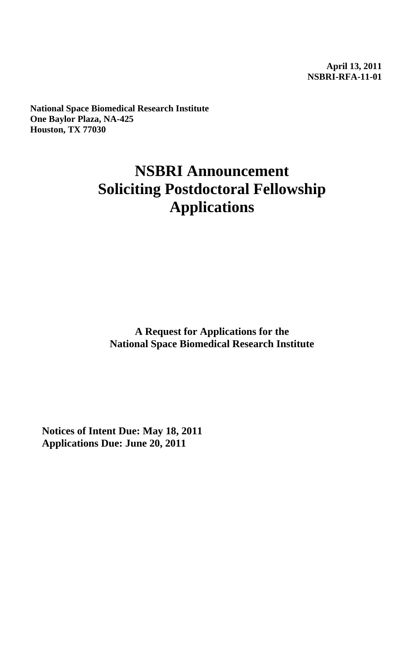**April 13, 2011 NSBRI-RFA-11-01** 

**National Space Biomedical Research Institute One Baylor Plaza, NA-425 Houston, TX 77030**

# **NSBRI Announcement Soliciting Postdoctoral Fellowship Applications**

**A Request for Applications for the National Space Biomedical Research Institute**

**Notices of Intent Due: May 18, 2011 Applications Due: June 20, 2011**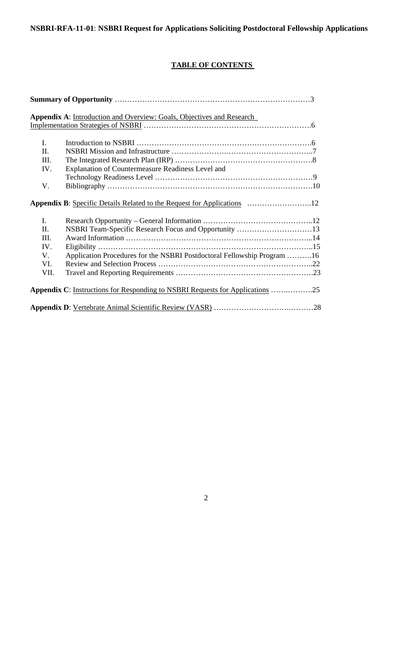# **TABLE OF CONTENTS**

|                | Appendix A: Introduction and Overview: Goals, Objectives and Research         |  |
|----------------|-------------------------------------------------------------------------------|--|
|                |                                                                               |  |
|                |                                                                               |  |
| $\mathbf{I}$ . |                                                                               |  |
| Π.             |                                                                               |  |
| III.           |                                                                               |  |
| IV.            | Explanation of Countermeasure Readiness Level and                             |  |
|                |                                                                               |  |
| V.             |                                                                               |  |
|                | Appendix B: Specific Details Related to the Request for Applications 12       |  |
| $\mathbf{I}$ . |                                                                               |  |
| Π.             | NSBRI Team-Specific Research Focus and Opportunity 13                         |  |
| III.           |                                                                               |  |
| IV.            |                                                                               |  |
| V.             | Application Procedures for the NSBRI Postdoctoral Fellowship Program 16       |  |
| VI.            |                                                                               |  |
| VII.           |                                                                               |  |
|                | Appendix C: Instructions for Responding to NSBRI Requests for Applications 25 |  |
|                |                                                                               |  |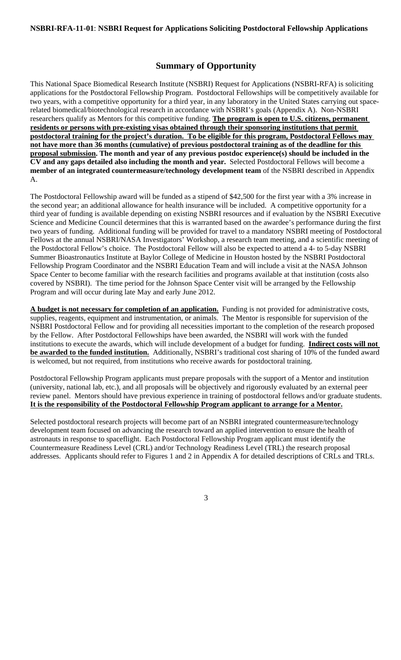# **Summary of Opportunity**

This National Space Biomedical Research Institute (NSBRI) Request for Applications (NSBRI-RFA) is soliciting applications for the Postdoctoral Fellowship Program. Postdoctoral Fellowships will be competitively available for two years, with a competitive opportunity for a third year, in any laboratory in the United States carrying out spacerelated biomedical/biotechnological research in accordance with NSBRI's goals (Appendix A). Non-NSBRI researchers qualify as Mentors for this competitive funding. **The program is open to U.S. citizens, permanent residents or persons with pre-existing visas obtained through their sponsoring institutions that permit postdoctoral training for the project's duration. To be eligible for this program, Postdoctoral Fellows may not have more than 36 months (cumulative) of previous postdoctoral training as of the deadline for this proposal submission. The month and year of any previous postdoc experience(s) should be included in the CV and any gaps detailed also including the month and year.** Selected Postdoctoral Fellows will become a **member of an integrated countermeasure/technology development team** of the NSBRI described in Appendix A.

The Postdoctoral Fellowship award will be funded as a stipend of \$42,500 for the first year with a 3% increase in the second year; an additional allowance for health insurance will be included. A competitive opportunity for a third year of funding is available depending on existing NSBRI resources and if evaluation by the NSBRI Executive Science and Medicine Council determines that this is warranted based on the awardee's performance during the first two years of funding. Additional funding will be provided for travel to a mandatory NSBRI meeting of Postdoctoral Fellows at the annual NSBRI/NASA Investigators' Workshop, a research team meeting, and a scientific meeting of the Postdoctoral Fellow's choice. The Postdoctoral Fellow will also be expected to attend a 4- to 5-day NSBRI Summer Bioastronautics Institute at Baylor College of Medicine in Houston hosted by the NSBRI Postdoctoral Fellowship Program Coordinator and the NSBRI Education Team and will include a visit at the NASA Johnson Space Center to become familiar with the research facilities and programs available at that institution (costs also covered by NSBRI). The time period for the Johnson Space Center visit will be arranged by the Fellowship Program and will occur during late May and early June 2012.

**A budget is not necessary for completion of an application.** Funding is not provided for administrative costs, supplies, reagents, equipment and instrumentation, or animals. The Mentor is responsible for supervision of the NSBRI Postdoctoral Fellow and for providing all necessities important to the completion of the research proposed by the Fellow. After Postdoctoral Fellowships have been awarded, the NSBRI will work with the funded institutions to execute the awards, which will include development of a budget for funding. **Indirect costs will not be awarded to the funded institution.** Additionally, NSBRI's traditional cost sharing of 10% of the funded award is welcomed, but not required, from institutions who receive awards for postdoctoral training.

Postdoctoral Fellowship Program applicants must prepare proposals with the support of a Mentor and institution (university, national lab, etc.), and all proposals will be objectively and rigorously evaluated by an external peer review panel. Mentors should have previous experience in training of postdoctoral fellows and/or graduate students. **It is the responsibility of the Postdoctoral Fellowship Program applicant to arrange for a Mentor.**

Selected postdoctoral research projects will become part of an NSBRI integrated countermeasure/technology development team focused on advancing the research toward an applied intervention to ensure the health of astronauts in response to spaceflight. Each Postdoctoral Fellowship Program applicant must identify the Countermeasure Readiness Level (CRL) and/or Technology Readiness Level (TRL) the research proposal addresses. Applicants should refer to Figures 1 and 2 in Appendix A for detailed descriptions of CRLs and TRLs.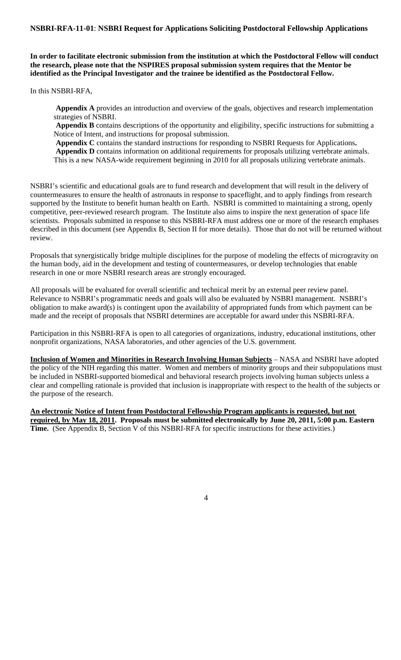**In order to facilitate electronic submission from the institution at which the Postdoctoral Fellow will conduct the research, please note that the NSPIRES proposal submission system requires that the Mentor be identified as the Principal Investigator and the trainee be identified as the Postdoctoral Fellow.** 

In this NSBRI-RFA,

**Appendix A** provides an introduction and overview of the goals, objectives and research implementation strategies of NSBRI.

**Appendix B** contains descriptions of the opportunity and eligibility, specific instructions for submitting a Notice of Intent, and instructions for proposal submission.

 **Appendix C** contains the standard instructions for responding to NSBRI Requests for Applications**. Appendix D** contains information on additional requirements for proposals utilizing vertebrate animals. This is a new NASA-wide requirement beginning in 2010 for all proposals utilizing vertebrate animals.

NSBRI's scientific and educational goals are to fund research and development that will result in the delivery of countermeasures to ensure the health of astronauts in response to spaceflight, and to apply findings from research supported by the Institute to benefit human health on Earth. NSBRI is committed to maintaining a strong, openly competitive, peer-reviewed research program. The Institute also aims to inspire the next generation of space life scientists. Proposals submitted in response to this NSBRI-RFA must address one or more of the research emphases described in this document (see Appendix B, Section II for more details). Those that do not will be returned without review.

Proposals that synergistically bridge multiple disciplines for the purpose of modeling the effects of microgravity on the human body, aid in the development and testing of countermeasures, or develop technologies that enable research in one or more NSBRI research areas are strongly encouraged.

All proposals will be evaluated for overall scientific and technical merit by an external peer review panel. Relevance to NSBRI's programmatic needs and goals will also be evaluated by NSBRI management. NSBRI's obligation to make award(s) is contingent upon the availability of appropriated funds from which payment can be made and the receipt of proposals that NSBRI determines are acceptable for award under this NSBRI-RFA.

Participation in this NSBRI-RFA is open to all categories of organizations, industry, educational institutions, other nonprofit organizations, NASA laboratories, and other agencies of the U.S. government.

**Inclusion of Women and Minorities in Research Involving Human Subjects** – NASA and NSBRI have adopted the policy of the NIH regarding this matter. Women and members of minority groups and their subpopulations must be included in NSBRI-supported biomedical and behavioral research projects involving human subjects unless a clear and compelling rationale is provided that inclusion is inappropriate with respect to the health of the subjects or the purpose of the research.

**An electronic Notice of Intent from Postdoctoral Fellowship Program applicants is requested, but not required, by May 18, 2011. Proposals must be submitted electronically by June 20, 2011, 5:00 p.m. Eastern Time.** (See Appendix B, Section V of this NSBRI-RFA for specific instructions for these activities.)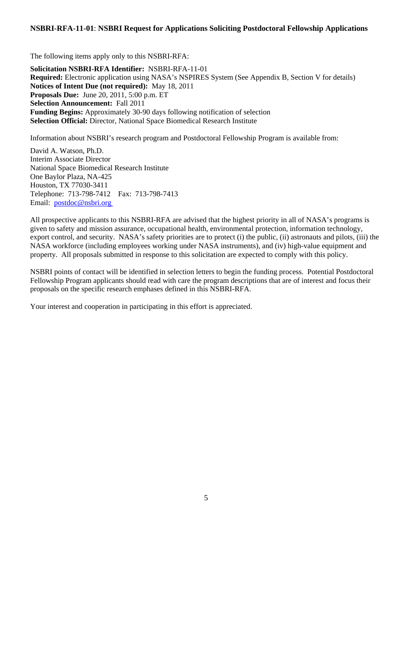The following items apply only to this NSBRI-RFA: **Solicitation NSBRI-RFA Identifier:** NSBRI-RFA-11-01 **Required:** Electronic application using NASA's NSPIRES System (See Appendix B, Section V for details) **Notices of Intent Due (not required):** May 18, 2011 **Proposals Due:** June 20, 2011, 5:00 p.m. ET **Selection Announcement:** Fall 2011 **Funding Begins:** Approximately 30-90 days following notification of selection **Selection Official:** Director, National Space Biomedical Research Institute

Information about NSBRI's research program and Postdoctoral Fellowship Program is available from:

David A. Watson, Ph.D. Interim Associate Director National Space Biomedical Research Institute One Baylor Plaza, NA-425 Houston, TX 77030-3411 Telephone: 713-798-7412 Fax: 713-798-7413 Email: postdoc@nsbri.org

All prospective applicants to this NSBRI-RFA are advised that the highest priority in all of NASA's programs is given to safety and mission assurance, occupational health, environmental protection, information technology, export control, and security. NASA's safety priorities are to protect (i) the public, (ii) astronauts and pilots, (iii) the NASA workforce (including employees working under NASA instruments), and (iv) high-value equipment and property. All proposals submitted in response to this solicitation are expected to comply with this policy.

NSBRI points of contact will be identified in selection letters to begin the funding process. Potential Postdoctoral Fellowship Program applicants should read with care the program descriptions that are of interest and focus their proposals on the specific research emphases defined in this NSBRI-RFA.

Your interest and cooperation in participating in this effort is appreciated.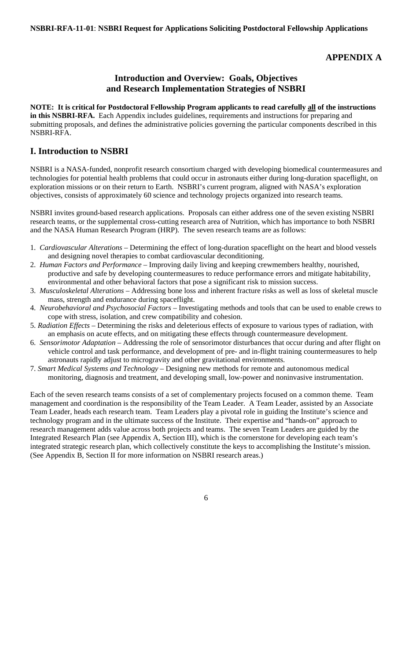# **APPENDIX A**

# **Introduction and Overview: Goals, Objectives and Research Implementation Strategies of NSBRI**

**NOTE: It is critical for Postdoctoral Fellowship Program applicants to read carefully all of the instructions in this NSBRI-RFA.** Each Appendix includes guidelines, requirements and instructions for preparing and submitting proposals, and defines the administrative policies governing the particular components described in this NSBRI-RFA.

# **I. Introduction to NSBRI**

NSBRI is a NASA-funded, nonprofit research consortium charged with developing biomedical countermeasures and technologies for potential health problems that could occur in astronauts either during long-duration spaceflight, on exploration missions or on their return to Earth. NSBRI's current program, aligned with NASA's exploration objectives, consists of approximately 60 science and technology projects organized into research teams.

NSBRI invites ground-based research applications. Proposals can either address one of the seven existing NSBRI research teams, or the supplemental cross-cutting research area of Nutrition, which has importance to both NSBRI and the NASA Human Research Program (HRP). The seven research teams are as follows:

- 1. *Cardiovascular Alterations* Determining the effect of long-duration spaceflight on the heart and blood vessels and designing novel therapies to combat cardiovascular deconditioning.
- 2. *Human Factors and Performance* Improving daily living and keeping crewmembers healthy, nourished, productive and safe by developing countermeasures to reduce performance errors and mitigate habitability, environmental and other behavioral factors that pose a significant risk to mission success.
- 3. *Musculoskeletal Alterations*  Addressing bone loss and inherent fracture risks as well as loss of skeletal muscle mass, strength and endurance during spaceflight.
- 4. *Neurobehavioral and Psychosocial Factors* Investigating methods and tools that can be used to enable crews to cope with stress, isolation, and crew compatibility and cohesion.
- 5. *Radiation Effects* Determining the risks and deleterious effects of exposure to various types of radiation, with an emphasis on acute effects, and on mitigating these effects through countermeasure development.
- 6. *Sensorimotor Adaptation* Addressing the role of sensorimotor disturbances that occur during and after flight on vehicle control and task performance, and development of pre- and in-flight training countermeasures to help astronauts rapidly adjust to microgravity and other gravitational environments.
- 7. *Smart Medical Systems and Technology*  Designing new methods for remote and autonomous medical monitoring, diagnosis and treatment, and developing small, low-power and noninvasive instrumentation.

Each of the seven research teams consists of a set of complementary projects focused on a common theme. Team management and coordination is the responsibility of the Team Leader. A Team Leader, assisted by an Associate Team Leader, heads each research team. Team Leaders play a pivotal role in guiding the Institute's science and technology program and in the ultimate success of the Institute. Their expertise and "hands-on" approach to research management adds value across both projects and teams. The seven Team Leaders are guided by the Integrated Research Plan (see Appendix A, Section III), which is the cornerstone for developing each team's integrated strategic research plan, which collectively constitute the keys to accomplishing the Institute's mission. (See Appendix B, Section II for more information on NSBRI research areas.)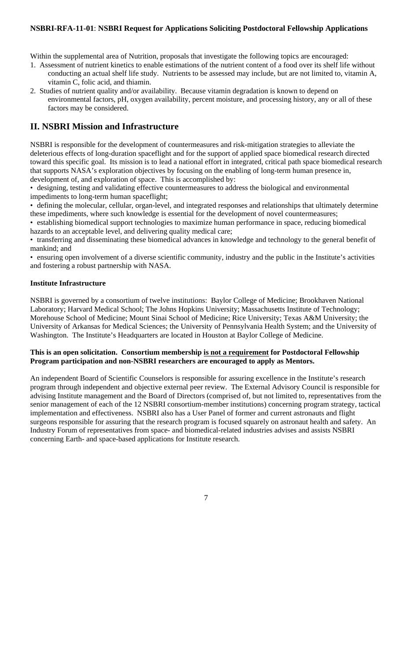Within the supplemental area of Nutrition, proposals that investigate the following topics are encouraged:

- 1. Assessment of nutrient kinetics to enable estimations of the nutrient content of a food over its shelf life without conducting an actual shelf life study. Nutrients to be assessed may include, but are not limited to, vitamin A, vitamin C, folic acid, and thiamin.
- 2. Studies of nutrient quality and/or availability. Because vitamin degradation is known to depend on environmental factors, pH, oxygen availability, percent moisture, and processing history, any or all of these factors may be considered.

# **II. NSBRI Mission and Infrastructure**

NSBRI is responsible for the development of countermeasures and risk-mitigation strategies to alleviate the deleterious effects of long-duration spaceflight and for the support of applied space biomedical research directed toward this specific goal. Its mission is to lead a national effort in integrated, critical path space biomedical research that supports NASA's exploration objectives by focusing on the enabling of long-term human presence in, development of, and exploration of space. This is accomplished by:

• designing, testing and validating effective countermeasures to address the biological and environmental impediments to long-term human spaceflight;

• defining the molecular, cellular, organ-level, and integrated responses and relationships that ultimately determine these impediments, where such knowledge is essential for the development of novel countermeasures;

• establishing biomedical support technologies to maximize human performance in space, reducing biomedical hazards to an acceptable level, and delivering quality medical care;

• transferring and disseminating these biomedical advances in knowledge and technology to the general benefit of mankind; and

• ensuring open involvement of a diverse scientific community, industry and the public in the Institute's activities and fostering a robust partnership with NASA.

## **Institute Infrastructure**

NSBRI is governed by a consortium of twelve institutions: Baylor College of Medicine; Brookhaven National Laboratory; Harvard Medical School; The Johns Hopkins University; Massachusetts Institute of Technology; Morehouse School of Medicine; Mount Sinai School of Medicine; Rice University; Texas A&M University; the University of Arkansas for Medical Sciences; the University of Pennsylvania Health System; and the University of Washington. The Institute's Headquarters are located in Houston at Baylor College of Medicine.

#### **This is an open solicitation. Consortium membership is not a requirement for Postdoctoral Fellowship Program participation and non-NSBRI researchers are encouraged to apply as Mentors.**

An independent Board of Scientific Counselors is responsible for assuring excellence in the Institute's research program through independent and objective external peer review. The External Advisory Council is responsible for advising Institute management and the Board of Directors (comprised of, but not limited to, representatives from the senior management of each of the 12 NSBRI consortium-member institutions) concerning program strategy, tactical implementation and effectiveness. NSBRI also has a User Panel of former and current astronauts and flight surgeons responsible for assuring that the research program is focused squarely on astronaut health and safety. An Industry Forum of representatives from space- and biomedical-related industries advises and assists NSBRI concerning Earth- and space-based applications for Institute research.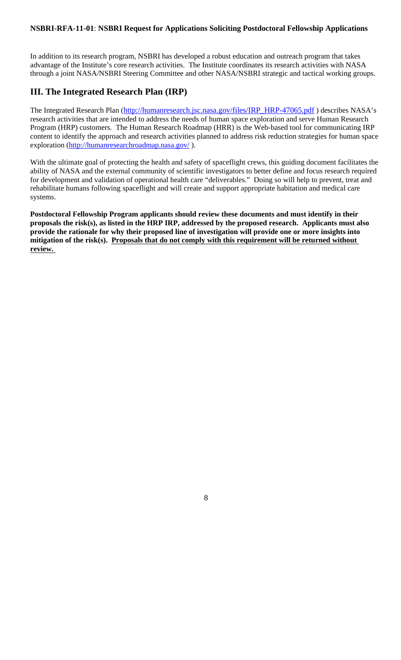In addition to its research program, NSBRI has developed a robust education and outreach program that takes advantage of the Institute's core research activities. The Institute coordinates its research activities with NASA through a joint NASA/NSBRI Steering Committee and other NASA/NSBRI strategic and tactical working groups.

# **III. The Integrated Research Plan (IRP)**

The Integrated Research Plan (http://humanresearch.jsc.nasa.gov/files/IRP\_HRP-47065.pdf) describes NASA's research activities that are intended to address the needs of human space exploration and serve Human Research Program (HRP) customers. The Human Research Roadmap (HRR) is the Web-based tool for communicating IRP content to identify the approach and research activities planned to address risk reduction strategies for human space exploration (http://humanresearchroadmap.nasa.gov/ ).

With the ultimate goal of protecting the health and safety of spaceflight crews, this guiding document facilitates the ability of NASA and the external community of scientific investigators to better define and focus research required for development and validation of operational health care "deliverables." Doing so will help to prevent, treat and rehabilitate humans following spaceflight and will create and support appropriate habitation and medical care systems.

**Postdoctoral Fellowship Program applicants should review these documents and must identify in their proposals the risk(s), as listed in the HRP IRP, addressed by the proposed research. Applicants must also provide the rationale for why their proposed line of investigation will provide one or more insights into mitigation of the risk(s). Proposals that do not comply with this requirement will be returned without review.**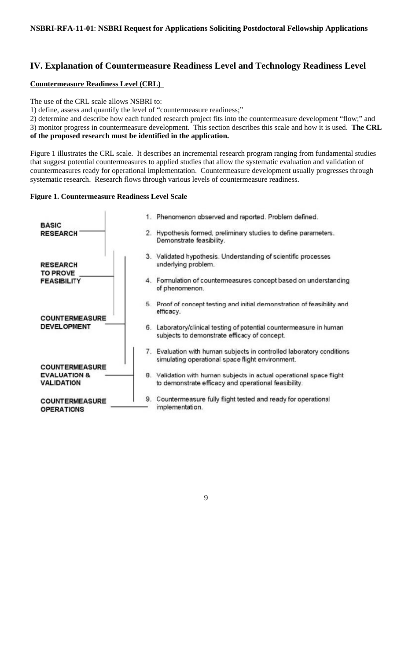# **IV. Explanation of Countermeasure Readiness Level and Technology Readiness Level**

# **Countermeasure Readiness Level (CRL)**

The use of the CRL scale allows NSBRI to:

1) define, assess and quantify the level of "countermeasure readiness;"

2) determine and describe how each funded research project fits into the countermeasure development "flow;" and 3) monitor progress in countermeasure development. This section describes this scale and how it is used. **The CRL of the proposed research must be identified in the application.** 

Figure 1 illustrates the CRL scale. It describes an incremental research program ranging from fundamental studies that suggest potential countermeasures to applied studies that allow the systematic evaluation and validation of countermeasures ready for operational implementation. Countermeasure development usually progresses through systematic research. Research flows through various levels of countermeasure readiness.

# **Figure 1. Countermeasure Readiness Level Scale**

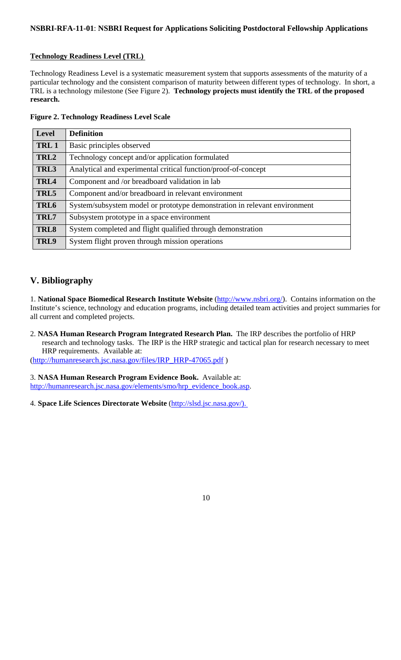# **Technology Readiness Level (TRL)**

Technology Readiness Level is a systematic measurement system that supports assessments of the maturity of a particular technology and the consistent comparison of maturity between different types of technology. In short, a TRL is a technology milestone (See Figure 2). **Technology projects must identify the TRL of the proposed research.**

|  | <b>Figure 2. Technology Readiness Level Scale</b> |  |  |
|--|---------------------------------------------------|--|--|
|  |                                                   |  |  |

| <b>Level</b>     | <b>Definition</b>                                                         |
|------------------|---------------------------------------------------------------------------|
| TRL 1            | Basic principles observed                                                 |
| TRL2             | Technology concept and/or application formulated                          |
| TRL3             | Analytical and experimental critical function/proof-of-concept            |
| TRL4             | Component and /or breadboard validation in lab                            |
| TRL5             | Component and/or breadboard in relevant environment                       |
| TRL <sub>6</sub> | System/subsystem model or prototype demonstration in relevant environment |
| TRL7             | Subsystem prototype in a space environment                                |
| TRL <sub>8</sub> | System completed and flight qualified through demonstration               |
| TRL9             | System flight proven through mission operations                           |

# **V. Bibliography**

1. **National Space Biomedical Research Institute Website** (http://www.nsbri.org/). Contains information on the Institute's science, technology and education programs, including detailed team activities and project summaries for all current and completed projects.

2. **NASA Human Research Program Integrated Research Plan.** The IRP describes the portfolio of HRP research and technology tasks. The IRP is the HRP strategic and tactical plan for research necessary to meet HRP requirements. Available at:

(http://humanresearch.jsc.nasa.gov/files/IRP\_HRP-47065.pdf )

3. **NASA Human Research Program Evidence Book.** Available at: http://humanresearch.jsc.nasa.gov/elements/smo/hrp\_evidence\_book.asp.

4. **Space Life Sciences Directorate Website** (http://slsd.jsc.nasa.gov/).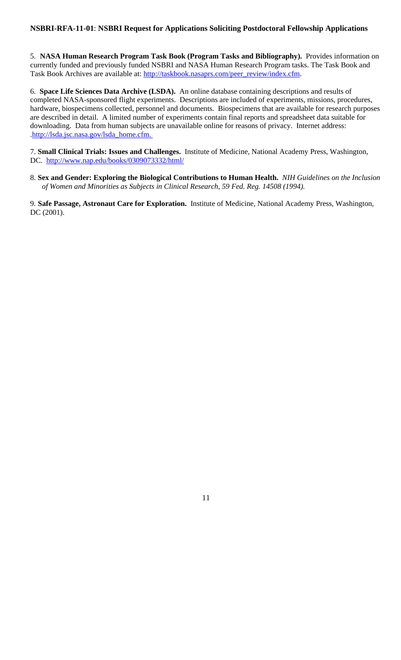5. **NASA Human Research Program Task Book (Program Tasks and Bibliography).** Provides information on currently funded and previously funded NSBRI and NASA Human Research Program tasks. The Task Book and Task Book Archives are available at: http://taskbook.nasaprs.com/peer\_review/index.cfm.

6. **Space Life Sciences Data Archive (LSDA).** An online database containing descriptions and results of completed NASA-sponsored flight experiments. Descriptions are included of experiments, missions, procedures, hardware, biospecimens collected, personnel and documents. Biospecimens that are available for research purposes are described in detail. A limited number of experiments contain final reports and spreadsheet data suitable for downloading. Data from human subjects are unavailable online for reasons of privacy. Internet address: .http://lsda.jsc.nasa.gov/lsda\_home.cfm.

7. **Small Clinical Trials: Issues and Challenges.** Institute of Medicine, National Academy Press, Washington, DC. http://www.nap.edu/books/0309073332/html/

8. **Sex and Gender: Exploring the Biological Contributions to Human Health.** *NIH Guidelines on the Inclusion of Women and Minorities as Subjects in Clinical Research, 59 Fed. Reg. 14508 (1994).*

9. **Safe Passage, Astronaut Care for Exploration.** Institute of Medicine, National Academy Press, Washington, DC (2001).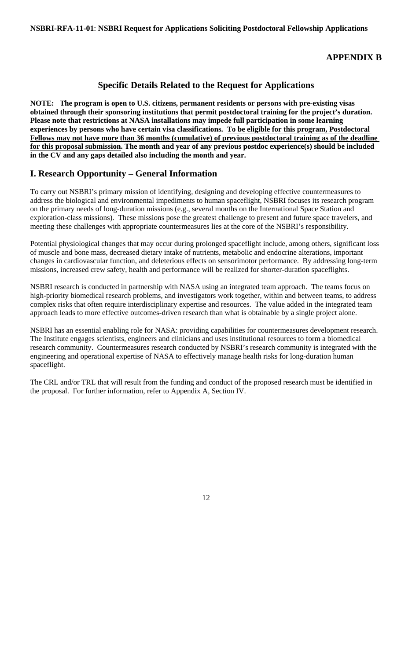# **APPENDIX B**

# **Specific Details Related to the Request for Applications**

**NOTE: The program is open to U.S. citizens, permanent residents or persons with pre-existing visas obtained through their sponsoring institutions that permit postdoctoral training for the project's duration. Please note that restrictions at NASA installations may impede full participation in some learning experiences by persons who have certain visa classifications. To be eligible for this program, Postdoctoral Fellows may not have more than 36 months (cumulative) of previous postdoctoral training as of the deadline for this proposal submission. The month and year of any previous postdoc experience(s) should be included in the CV and any gaps detailed also including the month and year.**

# **I. Research Opportunity – General Information**

To carry out NSBRI's primary mission of identifying, designing and developing effective countermeasures to address the biological and environmental impediments to human spaceflight, NSBRI focuses its research program on the primary needs of long-duration missions (e.g., several months on the International Space Station and exploration-class missions). These missions pose the greatest challenge to present and future space travelers, and meeting these challenges with appropriate countermeasures lies at the core of the NSBRI's responsibility.

Potential physiological changes that may occur during prolonged spaceflight include, among others, significant loss of muscle and bone mass, decreased dietary intake of nutrients, metabolic and endocrine alterations, important changes in cardiovascular function, and deleterious effects on sensorimotor performance. By addressing long-term missions, increased crew safety, health and performance will be realized for shorter-duration spaceflights.

NSBRI research is conducted in partnership with NASA using an integrated team approach. The teams focus on high-priority biomedical research problems, and investigators work together, within and between teams, to address complex risks that often require interdisciplinary expertise and resources. The value added in the integrated team approach leads to more effective outcomes-driven research than what is obtainable by a single project alone.

NSBRI has an essential enabling role for NASA: providing capabilities for countermeasures development research. The Institute engages scientists, engineers and clinicians and uses institutional resources to form a biomedical research community. Countermeasures research conducted by NSBRI's research community is integrated with the engineering and operational expertise of NASA to effectively manage health risks for long-duration human spaceflight.

The CRL and/or TRL that will result from the funding and conduct of the proposed research must be identified in the proposal. For further information, refer to Appendix A, Section IV.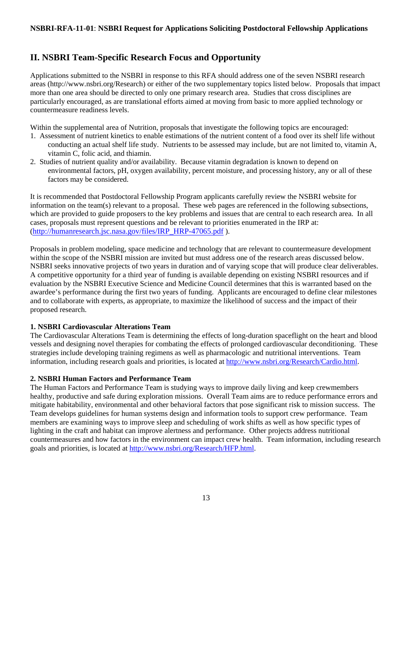# **II. NSBRI Team-Specific Research Focus and Opportunity**

Applications submitted to the NSBRI in response to this RFA should address one of the seven NSBRI research areas (http://www.nsbri.org/Research) or either of the two supplementary topics listed below. Proposals that impact more than one area should be directed to only one primary research area. Studies that cross disciplines are particularly encouraged, as are translational efforts aimed at moving from basic to more applied technology or countermeasure readiness levels.

Within the supplemental area of Nutrition, proposals that investigate the following topics are encouraged:

- 1. Assessment of nutrient kinetics to enable estimations of the nutrient content of a food over its shelf life without conducting an actual shelf life study. Nutrients to be assessed may include, but are not limited to, vitamin A, vitamin C, folic acid, and thiamin.
- 2. Studies of nutrient quality and/or availability. Because vitamin degradation is known to depend on environmental factors, pH, oxygen availability, percent moisture, and processing history, any or all of these factors may be considered.

It is recommended that Postdoctoral Fellowship Program applicants carefully review the NSBRI website for information on the team(s) relevant to a proposal. These web pages are referenced in the following subsections, which are provided to guide proposers to the key problems and issues that are central to each research area. In all cases, proposals must represent questions and be relevant to priorities enumerated in the IRP at: (http://humanresearch.jsc.nasa.gov/files/IRP\_HRP-47065.pdf ).

Proposals in problem modeling, space medicine and technology that are relevant to countermeasure development within the scope of the NSBRI mission are invited but must address one of the research areas discussed below. NSBRI seeks innovative projects of two years in duration and of varying scope that will produce clear deliverables. A competitive opportunity for a third year of funding is available depending on existing NSBRI resources and if evaluation by the NSBRI Executive Science and Medicine Council determines that this is warranted based on the awardee's performance during the first two years of funding. Applicants are encouraged to define clear milestones and to collaborate with experts, as appropriate, to maximize the likelihood of success and the impact of their proposed research.

#### **1. NSBRI Cardiovascular Alterations Team**

The Cardiovascular Alterations Team is determining the effects of long-duration spaceflight on the heart and blood vessels and designing novel therapies for combating the effects of prolonged cardiovascular deconditioning. These strategies include developing training regimens as well as pharmacologic and nutritional interventions. Team information, including research goals and priorities, is located at http://www.nsbri.org/Research/Cardio.html.

## **2. NSBRI Human Factors and Performance Team**

The Human Factors and Performance Team is studying ways to improve daily living and keep crewmembers healthy, productive and safe during exploration missions. Overall Team aims are to reduce performance errors and mitigate habitability, environmental and other behavioral factors that pose significant risk to mission success. The Team develops guidelines for human systems design and information tools to support crew performance. Team members are examining ways to improve sleep and scheduling of work shifts as well as how specific types of lighting in the craft and habitat can improve alertness and performance. Other projects address nutritional countermeasures and how factors in the environment can impact crew health. Team information, including research goals and priorities, is located at http://www.nsbri.org/Research/HFP.html.

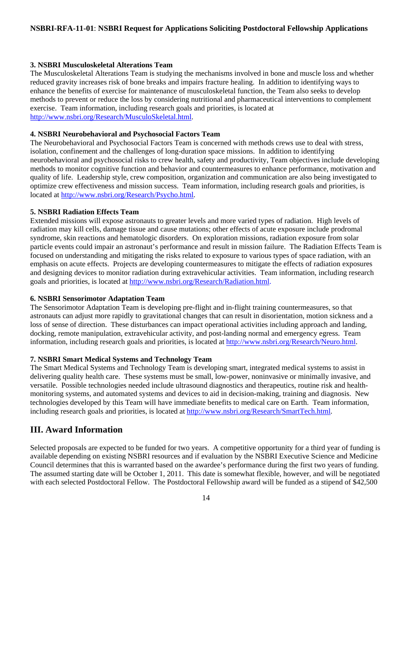# **3. NSBRI Musculoskeletal Alterations Team**

The Musculoskeletal Alterations Team is studying the mechanisms involved in bone and muscle loss and whether reduced gravity increases risk of bone breaks and impairs fracture healing. In addition to identifying ways to enhance the benefits of exercise for maintenance of musculoskeletal function, the Team also seeks to develop methods to prevent or reduce the loss by considering nutritional and pharmaceutical interventions to complement exercise. Team information, including research goals and priorities, is located at http://www.nsbri.org/Research/MusculoSkeletal.html.

## **4. NSBRI Neurobehavioral and Psychosocial Factors Team**

The Neurobehavioral and Psychosocial Factors Team is concerned with methods crews use to deal with stress, isolation, confinement and the challenges of long-duration space missions. In addition to identifying neurobehavioral and psychosocial risks to crew health, safety and productivity, Team objectives include developing methods to monitor cognitive function and behavior and countermeasures to enhance performance, motivation and quality of life. Leadership style, crew composition, organization and communication are also being investigated to optimize crew effectiveness and mission success. Team information, including research goals and priorities, is located at http://www.nsbri.org/Research/Psycho.html.

## **5. NSBRI Radiation Effects Team**

Extended missions will expose astronauts to greater levels and more varied types of radiation. High levels of radiation may kill cells, damage tissue and cause mutations; other effects of acute exposure include prodromal syndrome, skin reactions and hematologic disorders. On exploration missions, radiation exposure from solar particle events could impair an astronaut's performance and result in mission failure. The Radiation Effects Team is focused on understanding and mitigating the risks related to exposure to various types of space radiation, with an emphasis on acute effects. Projects are developing countermeasures to mitigate the effects of radiation exposures and designing devices to monitor radiation during extravehicular activities. Team information, including research goals and priorities, is located at http://www.nsbri.org/Research/Radiation.html.

## **6. NSBRI Sensorimotor Adaptation Team**

The Sensorimotor Adaptation Team is developing pre-flight and in-flight training countermeasures, so that astronauts can adjust more rapidly to gravitational changes that can result in disorientation, motion sickness and a loss of sense of direction. These disturbances can impact operational activities including approach and landing, docking, remote manipulation, extravehicular activity, and post-landing normal and emergency egress. Team information, including research goals and priorities, is located at http://www.nsbri.org/Research/Neuro.html.

#### **7. NSBRI Smart Medical Systems and Technology Team**

The Smart Medical Systems and Technology Team is developing smart, integrated medical systems to assist in delivering quality health care. These systems must be small, low-power, noninvasive or minimally invasive, and versatile. Possible technologies needed include ultrasound diagnostics and therapeutics, routine risk and healthmonitoring systems, and automated systems and devices to aid in decision-making, training and diagnosis. New technologies developed by this Team will have immediate benefits to medical care on Earth. Team information, including research goals and priorities, is located at http://www.nsbri.org/Research/SmartTech.html.

# **III. Award Information**

Selected proposals are expected to be funded for two years. A competitive opportunity for a third year of funding is available depending on existing NSBRI resources and if evaluation by the NSBRI Executive Science and Medicine Council determines that this is warranted based on the awardee's performance during the first two years of funding. The assumed starting date will be October 1, 2011. This date is somewhat flexible, however, and will be negotiated with each selected Postdoctoral Fellow. The Postdoctoral Fellowship award will be funded as a stipend of \$42,500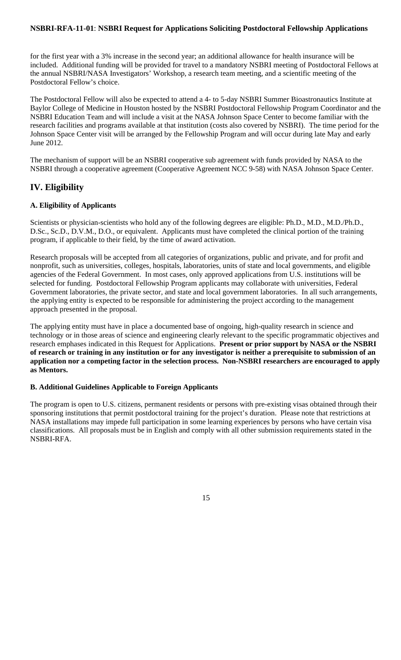for the first year with a 3% increase in the second year; an additional allowance for health insurance will be included. Additional funding will be provided for travel to a mandatory NSBRI meeting of Postdoctoral Fellows at the annual NSBRI/NASA Investigators' Workshop, a research team meeting, and a scientific meeting of the Postdoctoral Fellow's choice.

The Postdoctoral Fellow will also be expected to attend a 4- to 5-day NSBRI Summer Bioastronautics Institute at Baylor College of Medicine in Houston hosted by the NSBRI Postdoctoral Fellowship Program Coordinator and the NSBRI Education Team and will include a visit at the NASA Johnson Space Center to become familiar with the research facilities and programs available at that institution (costs also covered by NSBRI). The time period for the Johnson Space Center visit will be arranged by the Fellowship Program and will occur during late May and early June 2012.

The mechanism of support will be an NSBRI cooperative sub agreement with funds provided by NASA to the NSBRI through a cooperative agreement (Cooperative Agreement NCC 9-58) with NASA Johnson Space Center.

# **IV. Eligibility**

# **A. Eligibility of Applicants**

Scientists or physician-scientists who hold any of the following degrees are eligible: Ph.D., M.D., M.D./Ph.D., D.Sc., Sc.D., D.V.M., D.O., or equivalent. Applicants must have completed the clinical portion of the training program, if applicable to their field, by the time of award activation.

Research proposals will be accepted from all categories of organizations, public and private, and for profit and nonprofit, such as universities, colleges, hospitals, laboratories, units of state and local governments, and eligible agencies of the Federal Government. In most cases, only approved applications from U.S. institutions will be selected for funding. Postdoctoral Fellowship Program applicants may collaborate with universities, Federal Government laboratories, the private sector, and state and local government laboratories. In all such arrangements, the applying entity is expected to be responsible for administering the project according to the management approach presented in the proposal.

The applying entity must have in place a documented base of ongoing, high-quality research in science and technology or in those areas of science and engineering clearly relevant to the specific programmatic objectives and research emphases indicated in this Request for Applications. **Present or prior support by NASA or the NSBRI of research or training in any institution or for any investigator is neither a prerequisite to submission of an application nor a competing factor in the selection process. Non-NSBRI researchers are encouraged to apply as Mentors.**

# **B. Additional Guidelines Applicable to Foreign Applicants**

The program is open to U.S. citizens, permanent residents or persons with pre-existing visas obtained through their sponsoring institutions that permit postdoctoral training for the project's duration. Please note that restrictions at NASA installations may impede full participation in some learning experiences by persons who have certain visa classifications. All proposals must be in English and comply with all other submission requirements stated in the NSBRI-RFA.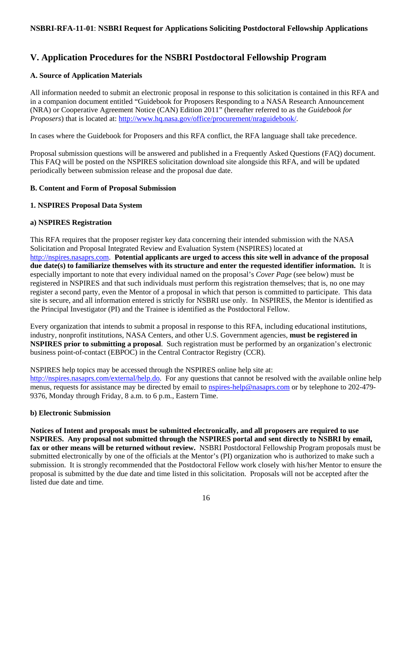# **V. Application Procedures for the NSBRI Postdoctoral Fellowship Program**

# **A. Source of Application Materials**

All information needed to submit an electronic proposal in response to this solicitation is contained in this RFA and in a companion document entitled "Guidebook for Proposers Responding to a NASA Research Announcement (NRA) or Cooperative Agreement Notice (CAN) Edition 2011" (hereafter referred to as the *Guidebook for Proposers*) that is located at: http://www.hq.nasa.gov/office/procurement/nraguidebook/.

In cases where the Guidebook for Proposers and this RFA conflict, the RFA language shall take precedence.

Proposal submission questions will be answered and published in a Frequently Asked Questions (FAQ) document. This FAQ will be posted on the NSPIRES solicitation download site alongside this RFA, and will be updated periodically between submission release and the proposal due date.

## **B. Content and Form of Proposal Submission**

## **1. NSPIRES Proposal Data System**

## **a) NSPIRES Registration**

This RFA requires that the proposer register key data concerning their intended submission with the NASA Solicitation and Proposal Integrated Review and Evaluation System (NSPIRES) located at http://nspires.nasaprs.com. **Potential applicants are urged to access this site well in advance of the proposal due date(s) to familiarize themselves with its structure and enter the requested identifier information.** It is especially important to note that every individual named on the proposal's *Cover Page* (see below) must be registered in NSPIRES and that such individuals must perform this registration themselves; that is, no one may register a second party, even the Mentor of a proposal in which that person is committed to participate. This data site is secure, and all information entered is strictly for NSBRI use only. In NSPIRES, the Mentor is identified as the Principal Investigator (PI) and the Trainee is identified as the Postdoctoral Fellow.

Every organization that intends to submit a proposal in response to this RFA, including educational institutions, industry, nonprofit institutions, NASA Centers, and other U.S. Government agencies, **must be registered in NSPIRES prior to submitting a proposal**. Such registration must be performed by an organization's electronic business point-of-contact (EBPOC) in the Central Contractor Registry (CCR).

NSPIRES help topics may be accessed through the NSPIRES online help site at:

http://nspires.nasaprs.com/external/help.do. For any questions that cannot be resolved with the available online help menus, requests for assistance may be directed by email to **nspires-help@nasaprs.com** or by telephone to 202-479-9376, Monday through Friday, 8 a.m. to 6 p.m., Eastern Time.

#### **b) Electronic Submission**

**Notices of Intent and proposals must be submitted electronically, and all proposers are required to use NSPIRES. Any proposal not submitted through the NSPIRES portal and sent directly to NSBRI by email, fax or other means will be returned without review.** NSBRI Postdoctoral Fellowship Program proposals must be submitted electronically by one of the officials at the Mentor's (PI) organization who is authorized to make such a submission. It is strongly recommended that the Postdoctoral Fellow work closely with his/her Mentor to ensure the proposal is submitted by the due date and time listed in this solicitation. Proposals will not be accepted after the listed due date and time.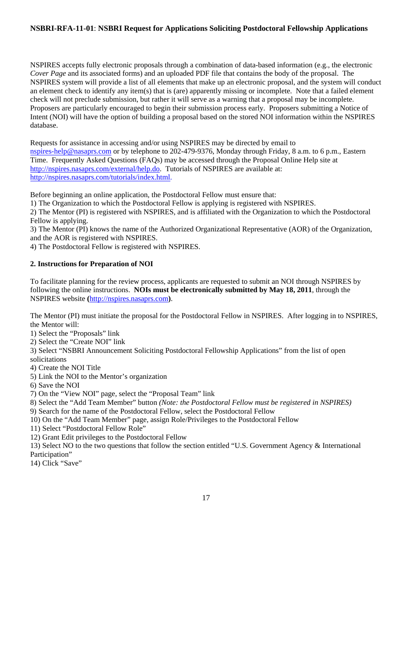NSPIRES accepts fully electronic proposals through a combination of data-based information (e.g., the electronic *Cover Page* and its associated forms) and an uploaded PDF file that contains the body of the proposal. The NSPIRES system will provide a list of all elements that make up an electronic proposal, and the system will conduct an element check to identify any item(s) that is (are) apparently missing or incomplete. Note that a failed element check will not preclude submission, but rather it will serve as a warning that a proposal may be incomplete. Proposers are particularly encouraged to begin their submission process early. Proposers submitting a Notice of Intent (NOI) will have the option of building a proposal based on the stored NOI information within the NSPIRES database.

Requests for assistance in accessing and/or using NSPIRES may be directed by email to nspires-help@nasaprs.com or by telephone to 202-479-9376, Monday through Friday, 8 a.m. to 6 p.m., Eastern Time. Frequently Asked Questions (FAQs) may be accessed through the Proposal Online Help site at http://nspires.nasaprs.com/external/help.do. Tutorials of NSPIRES are available at: http://nspires.nasaprs.com/tutorials/index.html.

Before beginning an online application, the Postdoctoral Fellow must ensure that:

1) The Organization to which the Postdoctoral Fellow is applying is registered with NSPIRES.

2) The Mentor (PI) is registered with NSPIRES, and is affiliated with the Organization to which the Postdoctoral Fellow is applying.

3) The Mentor (PI) knows the name of the Authorized Organizational Representative (AOR) of the Organization, and the AOR is registered with NSPIRES.

4) The Postdoctoral Fellow is registered with NSPIRES.

# **2. Instructions for Preparation of NOI**

To facilitate planning for the review process, applicants are requested to submit an NOI through NSPIRES by following the online instructions. **NOIs must be electronically submitted by May 18, 2011**, through the NSPIRES website **(**http://nspires.nasaprs.com**)**.

The Mentor (PI) must initiate the proposal for the Postdoctoral Fellow in NSPIRES. After logging in to NSPIRES, the Mentor will:

1) Select the "Proposals" link

2) Select the "Create NOI" link

3) Select "NSBRI Announcement Soliciting Postdoctoral Fellowship Applications" from the list of open solicitations

4) Create the NOI Title

5) Link the NOI to the Mentor's organization

6) Save the NOI

7) On the "View NOI" page, select the "Proposal Team" link

8) Select the "Add Team Member" button *(Note: the Postdoctoral Fellow must be registered in NSPIRES)* 

9) Search for the name of the Postdoctoral Fellow, select the Postdoctoral Fellow

10) On the "Add Team Member" page, assign Role/Privileges to the Postdoctoral Fellow

11) Select "Postdoctoral Fellow Role"

12) Grant Edit privileges to the Postdoctoral Fellow

13) Select NO to the two questions that follow the section entitled "U.S. Government Agency & International Participation"

14) Click "Save"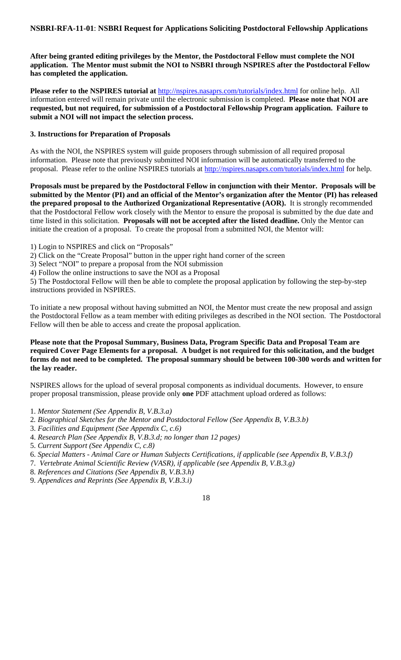**After being granted editing privileges by the Mentor, the Postdoctoral Fellow must complete the NOI application. The Mentor must submit the NOI to NSBRI through NSPIRES after the Postdoctoral Fellow has completed the application.** 

Please refer to the NSPIRES tutorial at **http://nspires.nasaprs.com/tutorials/index.html** for online help. All information entered will remain private until the electronic submission is completed. **Please note that NOI are requested, but not required, for submission of a Postdoctoral Fellowship Program application. Failure to submit a NOI will not impact the selection process.**

#### **3. Instructions for Preparation of Proposals**

As with the NOI, the NSPIRES system will guide proposers through submission of all required proposal information. Please note that previously submitted NOI information will be automatically transferred to the proposal. Please refer to the online NSPIRES tutorials at http://nspires.nasaprs.com/tutorials/index.html for help.

**Proposals must be prepared by the Postdoctoral Fellow in conjunction with their Mentor. Proposals will be submitted by the Mentor (PI) and an official of the Mentor's organization after the Mentor (PI) has released the prepared proposal to the Authorized Organizational Representative (AOR).** It is strongly recommended that the Postdoctoral Fellow work closely with the Mentor to ensure the proposal is submitted by the due date and time listed in this solicitation. **Proposals will not be accepted after the listed deadline.** Only the Mentor can initiate the creation of a proposal. To create the proposal from a submitted NOI, the Mentor will:

- 1) Login to NSPIRES and click on "Proposals"
- 2) Click on the "Create Proposal" button in the upper right hand corner of the screen
- 3) Select "NOI" to prepare a proposal from the NOI submission
- 4) Follow the online instructions to save the NOI as a Proposal

5) The Postdoctoral Fellow will then be able to complete the proposal application by following the step-by-step instructions provided in NSPIRES.

To initiate a new proposal without having submitted an NOI, the Mentor must create the new proposal and assign the Postdoctoral Fellow as a team member with editing privileges as described in the NOI section. The Postdoctoral Fellow will then be able to access and create the proposal application.

## **Please note that the Proposal Summary, Business Data, Program Specific Data and Proposal Team are required Cover Page Elements for a proposal. A budget is not required for this solicitation, and the budget forms do not need to be completed. The proposal summary should be between 100-300 words and written for the lay reader.**

NSPIRES allows for the upload of several proposal components as individual documents. However, to ensure proper proposal transmission, please provide only **one** PDF attachment upload ordered as follows:

- 1. *Mentor Statement (See Appendix B, V.B.3.a)*
- 2*. Biographical Sketches for the Mentor and Postdoctoral Fellow (See Appendix B, V.B.3.b)*
- 3. *Facilities and Equipment (See Appendix C, c.6)*
- 4. *Research Plan (See Appendix B, V.B.3.d; no longer than 12 pages)*
- 5. *Current Support (See Appendix C, c.8)*
- 6. *Special Matters Animal Care or Human Subjects Certifications, if applicable (see Appendix B, V.B.3.f)*
- 7. *Vertebrate Animal Scientific Review (VASR), if applicable (see Appendix B, V.B.3.g)*
- 8. *References and Citations (See Appendix B, V.B.3.h)*
- 9. *Appendices and Reprints (See Appendix B, V.B.3.i)*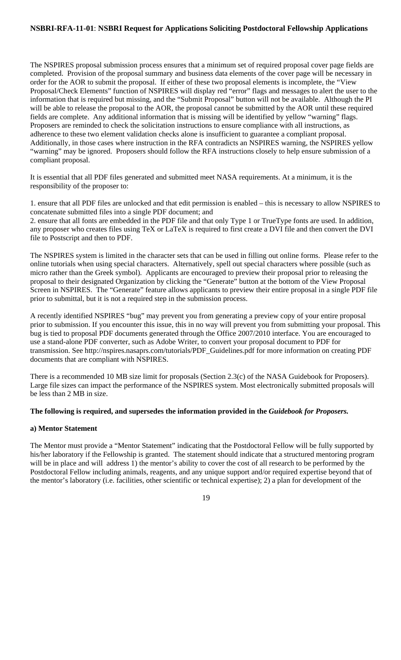The NSPIRES proposal submission process ensures that a minimum set of required proposal cover page fields are completed. Provision of the proposal summary and business data elements of the cover page will be necessary in order for the AOR to submit the proposal. If either of these two proposal elements is incomplete, the "View Proposal/Check Elements" function of NSPIRES will display red "error" flags and messages to alert the user to the information that is required but missing, and the "Submit Proposal" button will not be available. Although the PI will be able to release the proposal to the AOR, the proposal cannot be submitted by the AOR until these required fields are complete. Any additional information that is missing will be identified by yellow "warning" flags. Proposers are reminded to check the solicitation instructions to ensure compliance with all instructions, as adherence to these two element validation checks alone is insufficient to guarantee a compliant proposal. Additionally, in those cases where instruction in the RFA contradicts an NSPIRES warning, the NSPIRES yellow "warning" may be ignored. Proposers should follow the RFA instructions closely to help ensure submission of a compliant proposal.

It is essential that all PDF files generated and submitted meet NASA requirements. At a minimum, it is the responsibility of the proposer to:

1. ensure that all PDF files are unlocked and that edit permission is enabled – this is necessary to allow NSPIRES to concatenate submitted files into a single PDF document; and

2. ensure that all fonts are embedded in the PDF file and that only Type 1 or TrueType fonts are used. In addition, any proposer who creates files using TeX or LaTeX is required to first create a DVI file and then convert the DVI file to Postscript and then to PDF.

The NSPIRES system is limited in the character sets that can be used in filling out online forms. Please refer to the online tutorials when using special characters. Alternatively, spell out special characters where possible (such as micro rather than the Greek symbol). Applicants are encouraged to preview their proposal prior to releasing the proposal to their designated Organization by clicking the "Generate" button at the bottom of the View Proposal Screen in NSPIRES. The "Generate" feature allows applicants to preview their entire proposal in a single PDF file prior to submittal, but it is not a required step in the submission process.

A recently identified NSPIRES "bug" may prevent you from generating a preview copy of your entire proposal prior to submission. If you encounter this issue, this in no way will prevent you from submitting your proposal. This bug is tied to proposal PDF documents generated through the Office 2007/2010 interface. You are encouraged to use a stand-alone PDF converter, such as Adobe Writer, to convert your proposal document to PDF for transmission. See http://nspires.nasaprs.com/tutorials/PDF\_Guidelines.pdf for more information on creating PDF documents that are compliant with NSPIRES.

There is a recommended 10 MB size limit for proposals (Section 2.3(c) of the NASA Guidebook for Proposers). Large file sizes can impact the performance of the NSPIRES system. Most electronically submitted proposals will be less than 2 MB in size.

#### **The following is required, and supersedes the information provided in the** *Guidebook for Proposers.*

#### **a) Mentor Statement**

The Mentor must provide a "Mentor Statement" indicating that the Postdoctoral Fellow will be fully supported by his/her laboratory if the Fellowship is granted. The statement should indicate that a structured mentoring program will be in place and will address 1) the mentor's ability to cover the cost of all research to be performed by the Postdoctoral Fellow including animals, reagents, and any unique support and/or required expertise beyond that of the mentor's laboratory (i.e. facilities, other scientific or technical expertise); 2) a plan for development of the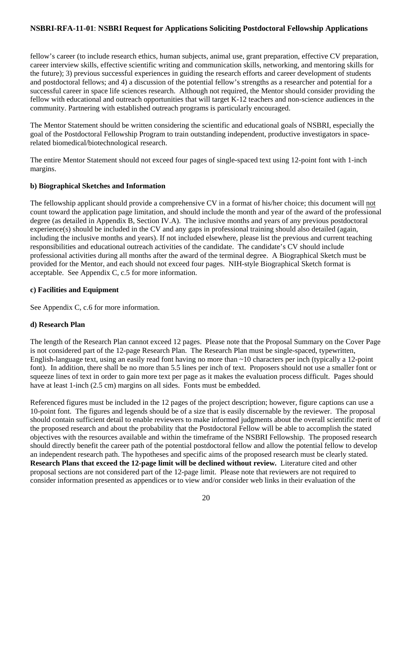fellow's career (to include research ethics, human subjects, animal use, grant preparation, effective CV preparation, career interview skills, effective scientific writing and communication skills, networking, and mentoring skills for the future); 3) previous successful experiences in guiding the research efforts and career development of students and postdoctoral fellows; and 4) a discussion of the potential fellow's strengths as a researcher and potential for a successful career in space life sciences research. Although not required, the Mentor should consider providing the fellow with educational and outreach opportunities that will target K-12 teachers and non-science audiences in the community. Partnering with established outreach programs is particularly encouraged.

The Mentor Statement should be written considering the scientific and educational goals of NSBRI, especially the goal of the Postdoctoral Fellowship Program to train outstanding independent, productive investigators in spacerelated biomedical/biotechnological research.

The entire Mentor Statement should not exceed four pages of single-spaced text using 12-point font with 1-inch margins.

# **b) Biographical Sketches and Information**

The fellowship applicant should provide a comprehensive CV in a format of his/her choice; this document will not count toward the application page limitation, and should include the month and year of the award of the professional degree (as detailed in Appendix B, Section IV.A). The inclusive months and years of any previous postdoctoral experience(s) should be included in the CV and any gaps in professional training should also detailed (again, including the inclusive months and years). If not included elsewhere, please list the previous and current teaching responsibilities and educational outreach activities of the candidate. The candidate's CV should include professional activities during all months after the award of the terminal degree. A Biographical Sketch must be provided for the Mentor, and each should not exceed four pages. NIH-style Biographical Sketch format is acceptable. See Appendix C, c.5 for more information.

# **c) Facilities and Equipment**

See Appendix C, c.6 for more information.

# **d) Research Plan**

The length of the Research Plan cannot exceed 12 pages. Please note that the Proposal Summary on the Cover Page is not considered part of the 12-page Research Plan. The Research Plan must be single-spaced, typewritten, English-language text, using an easily read font having no more than ~10 characters per inch (typically a 12-point font). In addition, there shall be no more than 5.5 lines per inch of text. Proposers should not use a smaller font or squeeze lines of text in order to gain more text per page as it makes the evaluation process difficult. Pages should have at least 1-inch (2.5 cm) margins on all sides. Fonts must be embedded.

Referenced figures must be included in the 12 pages of the project description; however, figure captions can use a 10-point font. The figures and legends should be of a size that is easily discernable by the reviewer. The proposal should contain sufficient detail to enable reviewers to make informed judgments about the overall scientific merit of the proposed research and about the probability that the Postdoctoral Fellow will be able to accomplish the stated objectives with the resources available and within the timeframe of the NSBRI Fellowship. The proposed research should directly benefit the career path of the potential postdoctoral fellow and allow the potential fellow to develop an independent research path. The hypotheses and specific aims of the proposed research must be clearly stated. **Research Plans that exceed the 12-page limit will be declined without review.** Literature cited and other proposal sections are not considered part of the 12-page limit. Please note that reviewers are not required to consider information presented as appendices or to view and/or consider web links in their evaluation of the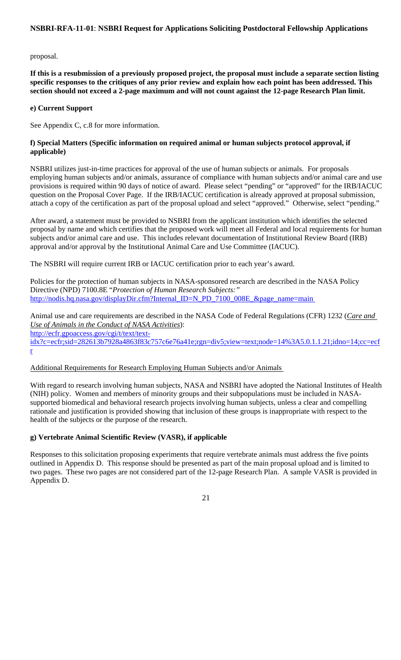#### proposal.

**If this is a resubmission of a previously proposed project, the proposal must include a separate section listing specific responses to the critiques of any prior review and explain how each point has been addressed. This section should not exceed a 2-page maximum and will not count against the 12-page Research Plan limit.** 

## **e) Current Support**

See Appendix C, c.8 for more information.

## **f) Special Matters (Specific information on required animal or human subjects protocol approval, if applicable)**

NSBRI utilizes just-in-time practices for approval of the use of human subjects or animals. For proposals employing human subjects and/or animals, assurance of compliance with human subjects and/or animal care and use provisions is required within 90 days of notice of award. Please select "pending" or "approved" for the IRB/IACUC question on the Proposal Cover Page. If the IRB/IACUC certification is already approved at proposal submission, attach a copy of the certification as part of the proposal upload and select "approved." Otherwise, select "pending."

After award, a statement must be provided to NSBRI from the applicant institution which identifies the selected proposal by name and which certifies that the proposed work will meet all Federal and local requirements for human subjects and/or animal care and use. This includes relevant documentation of Institutional Review Board (IRB) approval and/or approval by the Institutional Animal Care and Use Committee (IACUC).

The NSBRI will require current IRB or IACUC certification prior to each year's award.

Policies for the protection of human subjects in NASA-sponsored research are described in the NASA Policy Directive (NPD) 7100.8E "*Protection of Human Research Subjects:"* http://nodis.hq.nasa.gov/displayDir.cfm?Internal\_ID=N\_PD\_7100\_008E\_&page\_name=main

Animal use and care requirements are described in the NASA Code of Federal Regulations (CFR) 1232 (*Care and Use of Animals in the Conduct of NASA Activities*):

http://ecfr.gpoaccess.gov/cgi/t/text/text-

idx?c=ecfr;sid=282613b7928a4863f83c757c6e76a41e;rgn=div5;view=text;node=14%3A5.0.1.1.21;idno=14;cc=ecf r

# Additional Requirements for Research Employing Human Subjects and/or Animals

With regard to research involving human subjects, NASA and NSBRI have adopted the National Institutes of Health (NIH) policy. Women and members of minority groups and their subpopulations must be included in NASAsupported biomedical and behavioral research projects involving human subjects, unless a clear and compelling rationale and justification is provided showing that inclusion of these groups is inappropriate with respect to the health of the subjects or the purpose of the research.

# **g) Vertebrate Animal Scientific Review (VASR), if applicable**

Responses to this solicitation proposing experiments that require vertebrate animals must address the five points outlined in Appendix D. This response should be presented as part of the main proposal upload and is limited to two pages. These two pages are not considered part of the 12-page Research Plan. A sample VASR is provided in Appendix D.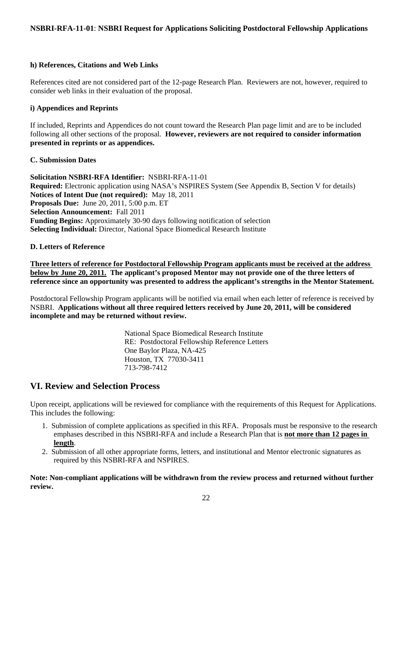## **h) References, Citations and Web Links**

References cited are not considered part of the 12-page Research Plan. Reviewers are not, however, required to consider web links in their evaluation of the proposal.

# **i) Appendices and Reprints**

If included, Reprints and Appendices do not count toward the Research Plan page limit and are to be included following all other sections of the proposal. **However, reviewers are not required to consider information presented in reprints or as appendices.**

## **C. Submission Dates**

**Solicitation NSBRI-RFA Identifier:** NSBRI-RFA-11-01 **Required:** Electronic application using NASA's NSPIRES System (See Appendix B, Section V for details) **Notices of Intent Due (not required):** May 18, 2011 **Proposals Due:** June 20, 2011, 5:00 p.m. ET **Selection Announcement:** Fall 2011 **Funding Begins:** Approximately 30-90 days following notification of selection **Selecting Individual:** Director, National Space Biomedical Research Institute

## **D. Letters of Reference**

**Three letters of reference for Postdoctoral Fellowship Program applicants must be received at the address below by June 20, 2011. The applicant's proposed Mentor may not provide one of the three letters of reference since an opportunity was presented to address the applicant's strengths in the Mentor Statement.**

Postdoctoral Fellowship Program applicants will be notified via email when each letter of reference is received by NSBRI. **Applications without all three required letters received by June 20, 2011, will be considered incomplete and may be returned without review.**

> National Space Biomedical Research Institute RE: Postdoctoral Fellowship Reference Letters One Baylor Plaza, NA-425 Houston, TX 77030-3411 713-798-7412

# **VI. Review and Selection Process**

Upon receipt, applications will be reviewed for compliance with the requirements of this Request for Applications. This includes the following:

- 1. Submission of complete applications as specified in this RFA. Proposals must be responsive to the research emphases described in this NSBRI-RFA and include a Research Plan that is **not more than 12 pages in length**.
- 2. Submission of all other appropriate forms, letters, and institutional and Mentor electronic signatures as required by this NSBRI-RFA and NSPIRES.

**Note: Non-compliant applications will be withdrawn from the review process and returned without further review.**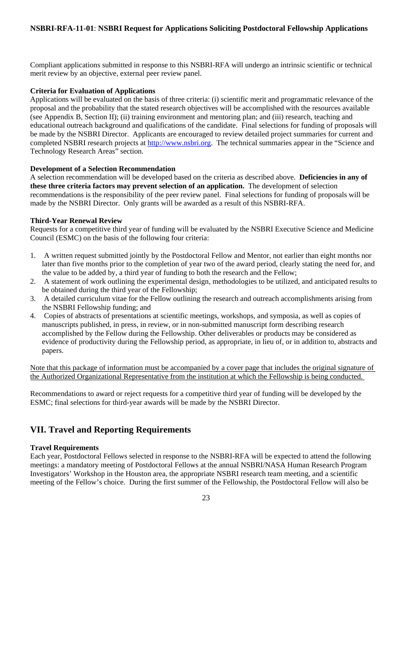Compliant applications submitted in response to this NSBRI-RFA will undergo an intrinsic scientific or technical merit review by an objective, external peer review panel.

# **Criteria for Evaluation of Applications**

Applications will be evaluated on the basis of three criteria: (i) scientific merit and programmatic relevance of the proposal and the probability that the stated research objectives will be accomplished with the resources available (see Appendix B, Section II); (ii) training environment and mentoring plan; and (iii) research, teaching and educational outreach background and qualifications of the candidate. Final selections for funding of proposals will be made by the NSBRI Director. Applicants are encouraged to review detailed project summaries for current and completed NSBRI research projects at http://www.nsbri.org. The technical summaries appear in the "Science and Technology Research Areas" section.

## **Development of a Selection Recommendation**

A selection recommendation will be developed based on the criteria as described above. **Deficiencies in any of these three criteria factors may prevent selection of an application.** The development of selection recommendations is the responsibility of the peer review panel. Final selections for funding of proposals will be made by the NSBRI Director. Only grants will be awarded as a result of this NSBRI-RFA.

## **Third-Year Renewal Review**

Requests for a competitive third year of funding will be evaluated by the NSBRI Executive Science and Medicine Council (ESMC) on the basis of the following four criteria:

- 1. A written request submitted jointly by the Postdoctoral Fellow and Mentor, not earlier than eight months nor later than five months prior to the completion of year two of the award period, clearly stating the need for, and the value to be added by, a third year of funding to both the research and the Fellow;
- 2. A statement of work outlining the experimental design, methodologies to be utilized, and anticipated results to be obtained during the third year of the Fellowship;
- 3. A detailed curriculum vitae for the Fellow outlining the research and outreach accomplishments arising from the NSBRI Fellowship funding; and
- 4. Copies of abstracts of presentations at scientific meetings, workshops, and symposia, as well as copies of manuscripts published, in press, in review, or in non-submitted manuscript form describing research accomplished by the Fellow during the Fellowship. Other deliverables or products may be considered as evidence of productivity during the Fellowship period, as appropriate, in lieu of, or in addition to, abstracts and papers.

Note that this package of information must be accompanied by a cover page that includes the original signature of the Authorized Organizational Representative from the institution at which the Fellowship is being conducted.

Recommendations to award or reject requests for a competitive third year of funding will be developed by the ESMC; final selections for third-year awards will be made by the NSBRI Director.

# **VII. Travel and Reporting Requirements**

#### **Travel Requirements**

Each year, Postdoctoral Fellows selected in response to the NSBRI-RFA will be expected to attend the following meetings: a mandatory meeting of Postdoctoral Fellows at the annual NSBRI/NASA Human Research Program Investigators' Workshop in the Houston area, the appropriate NSBRI research team meeting, and a scientific meeting of the Fellow's choice. During the first summer of the Fellowship, the Postdoctoral Fellow will also be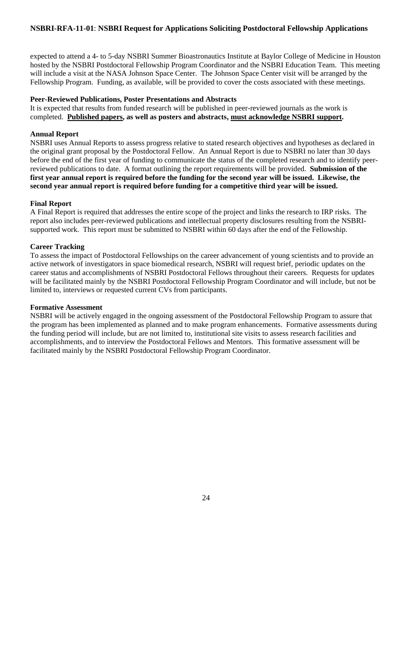expected to attend a 4- to 5-day NSBRI Summer Bioastronautics Institute at Baylor College of Medicine in Houston hosted by the NSBRI Postdoctoral Fellowship Program Coordinator and the NSBRI Education Team. This meeting will include a visit at the NASA Johnson Space Center. The Johnson Space Center visit will be arranged by the Fellowship Program. Funding, as available, will be provided to cover the costs associated with these meetings.

#### **Peer-Reviewed Publications, Poster Presentations and Abstracts**

It is expected that results from funded research will be published in peer-reviewed journals as the work is completed. **Published papers, as well as posters and abstracts, must acknowledge NSBRI support.**

#### **Annual Report**

NSBRI uses Annual Reports to assess progress relative to stated research objectives and hypotheses as declared in the original grant proposal by the Postdoctoral Fellow. An Annual Report is due to NSBRI no later than 30 days before the end of the first year of funding to communicate the status of the completed research and to identify peerreviewed publications to date. A format outlining the report requirements will be provided. **Submission of the first year annual report is required before the funding for the second year will be issued. Likewise, the second year annual report is required before funding for a competitive third year will be issued.**

#### **Final Report**

A Final Report is required that addresses the entire scope of the project and links the research to IRP risks. The report also includes peer-reviewed publications and intellectual property disclosures resulting from the NSBRIsupported work. This report must be submitted to NSBRI within 60 days after the end of the Fellowship.

#### **Career Tracking**

To assess the impact of Postdoctoral Fellowships on the career advancement of young scientists and to provide an active network of investigators in space biomedical research, NSBRI will request brief, periodic updates on the career status and accomplishments of NSBRI Postdoctoral Fellows throughout their careers. Requests for updates will be facilitated mainly by the NSBRI Postdoctoral Fellowship Program Coordinator and will include, but not be limited to, interviews or requested current CVs from participants.

#### **Formative Assessment**

NSBRI will be actively engaged in the ongoing assessment of the Postdoctoral Fellowship Program to assure that the program has been implemented as planned and to make program enhancements. Formative assessments during the funding period will include, but are not limited to, institutional site visits to assess research facilities and accomplishments, and to interview the Postdoctoral Fellows and Mentors. This formative assessment will be facilitated mainly by the NSBRI Postdoctoral Fellowship Program Coordinator.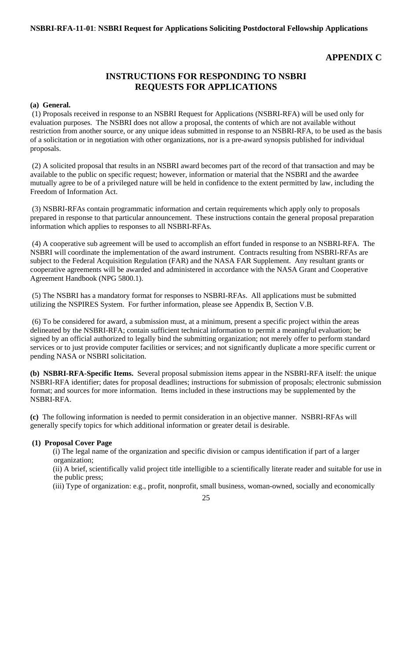# **APPENDIX C**

# **INSTRUCTIONS FOR RESPONDING TO NSBRI REQUESTS FOR APPLICATIONS**

#### **(a) General.**

 (1) Proposals received in response to an NSBRI Request for Applications (NSBRI-RFA) will be used only for evaluation purposes. The NSBRI does not allow a proposal, the contents of which are not available without restriction from another source, or any unique ideas submitted in response to an NSBRI-RFA, to be used as the basis of a solicitation or in negotiation with other organizations, nor is a pre-award synopsis published for individual proposals.

 (2) A solicited proposal that results in an NSBRI award becomes part of the record of that transaction and may be available to the public on specific request; however, information or material that the NSBRI and the awardee mutually agree to be of a privileged nature will be held in confidence to the extent permitted by law, including the Freedom of Information Act.

(3) NSBRI-RFAs contain programmatic information and certain requirements which apply only to proposals prepared in response to that particular announcement. These instructions contain the general proposal preparation information which applies to responses to all NSBRI-RFAs.

(4) A cooperative sub agreement will be used to accomplish an effort funded in response to an NSBRI-RFA. The NSBRI will coordinate the implementation of the award instrument. Contracts resulting from NSBRI-RFAs are subject to the Federal Acquisition Regulation (FAR) and the NASA FAR Supplement. Any resultant grants or cooperative agreements will be awarded and administered in accordance with the NASA Grant and Cooperative Agreement Handbook (NPG 5800.1).

 (5) The NSBRI has a mandatory format for responses to NSBRI-RFAs. All applications must be submitted utilizing the NSPIRES System. For further information, please see Appendix B, Section V.B.

 (6) To be considered for award, a submission must, at a minimum, present a specific project within the areas delineated by the NSBRI-RFA; contain sufficient technical information to permit a meaningful evaluation; be signed by an official authorized to legally bind the submitting organization; not merely offer to perform standard services or to just provide computer facilities or services; and not significantly duplicate a more specific current or pending NASA or NSBRI solicitation.

**(b) NSBRI-RFA-Specific Items.** Several proposal submission items appear in the NSBRI-RFA itself: the unique NSBRI-RFA identifier; dates for proposal deadlines; instructions for submission of proposals; electronic submission format; and sources for more information. Items included in these instructions may be supplemented by the NSBRI-RFA.

**(c)** The following information is needed to permit consideration in an objective manner. NSBRI-RFAs will generally specify topics for which additional information or greater detail is desirable.

## **(1) Proposal Cover Page**

 (i) The legal name of the organization and specific division or campus identification if part of a larger organization;

 (ii) A brief, scientifically valid project title intelligible to a scientifically literate reader and suitable for use in the public press;

(iii) Type of organization: e.g., profit, nonprofit, small business, woman-owned, socially and economically

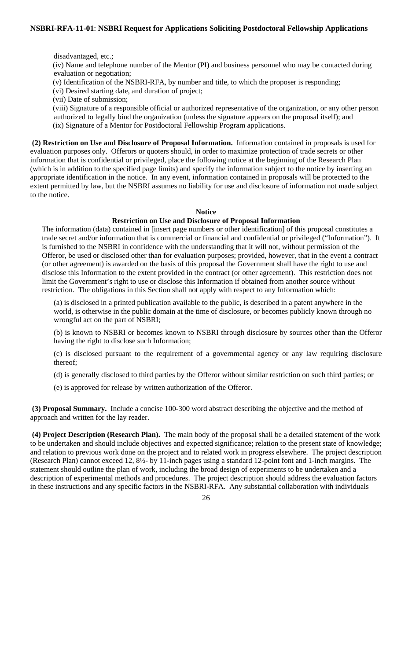disadvantaged, etc.;

 (iv) Name and telephone number of the Mentor (PI) and business personnel who may be contacted during evaluation or negotiation;

(v) Identification of the NSBRI-RFA, by number and title, to which the proposer is responding;

(vi) Desired starting date, and duration of project;

(vii) Date of submission;

 (viii) Signature of a responsible official or authorized representative of the organization, or any other person authorized to legally bind the organization (unless the signature appears on the proposal itself); and (ix) Signature of a Mentor for Postdoctoral Fellowship Program applications.

 **(2) Restriction on Use and Disclosure of Proposal Information.** Information contained in proposals is used for evaluation purposes only. Offerors or quoters should, in order to maximize protection of trade secrets or other information that is confidential or privileged, place the following notice at the beginning of the Research Plan (which is in addition to the specified page limits) and specify the information subject to the notice by inserting an appropriate identification in the notice. In any event, information contained in proposals will be protected to the extent permitted by law, but the NSBRI assumes no liability for use and disclosure of information not made subject to the notice.

## **Notice**

# **Restriction on Use and Disclosure of Proposal Information**

The information (data) contained in [insert page numbers or other identification] of this proposal constitutes a trade secret and/or information that is commercial or financial and confidential or privileged ("Information"). It is furnished to the NSBRI in confidence with the understanding that it will not, without permission of the Offeror, be used or disclosed other than for evaluation purposes; provided, however, that in the event a contract (or other agreement) is awarded on the basis of this proposal the Government shall have the right to use and disclose this Information to the extent provided in the contract (or other agreement). This restriction does not limit the Government's right to use or disclose this Information if obtained from another source without restriction. The obligations in this Section shall not apply with respect to any Information which:

(a) is disclosed in a printed publication available to the public, is described in a patent anywhere in the world, is otherwise in the public domain at the time of disclosure, or becomes publicly known through no wrongful act on the part of NSBRI;

(b) is known to NSBRI or becomes known to NSBRI through disclosure by sources other than the Offeror having the right to disclose such Information;

(c) is disclosed pursuant to the requirement of a governmental agency or any law requiring disclosure thereof;

(d) is generally disclosed to third parties by the Offeror without similar restriction on such third parties; or

(e) is approved for release by written authorization of the Offeror.

 **(3) Proposal Summary.** Include a concise 100-300 word abstract describing the objective and the method of approach and written for the lay reader.

 **(4) Project Description (Research Plan).** The main body of the proposal shall be a detailed statement of the work to be undertaken and should include objectives and expected significance; relation to the present state of knowledge; and relation to previous work done on the project and to related work in progress elsewhere. The project description (Research Plan) cannot exceed 12, 8½- by 11-inch pages using a standard 12-point font and 1-inch margins. The statement should outline the plan of work, including the broad design of experiments to be undertaken and a description of experimental methods and procedures. The project description should address the evaluation factors in these instructions and any specific factors in the NSBRI-RFA. Any substantial collaboration with individuals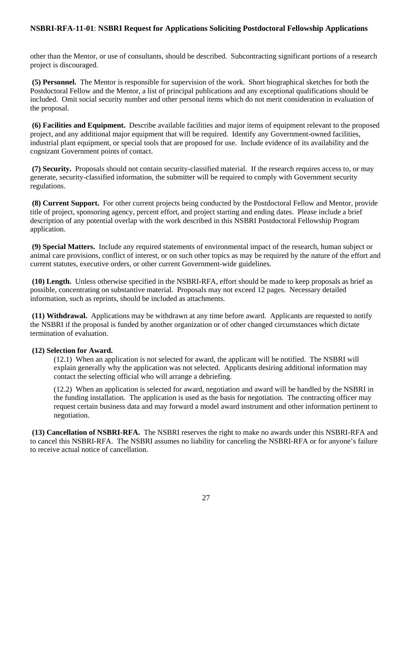other than the Mentor, or use of consultants, should be described. Subcontracting significant portions of a research project is discouraged.

 **(5) Personnel.** The Mentor is responsible for supervision of the work. Short biographical sketches for both the Postdoctoral Fellow and the Mentor, a list of principal publications and any exceptional qualifications should be included. Omit social security number and other personal items which do not merit consideration in evaluation of the proposal.

 **(6) Facilities and Equipment.** Describe available facilities and major items of equipment relevant to the proposed project, and any additional major equipment that will be required. Identify any Government-owned facilities, industrial plant equipment, or special tools that are proposed for use. Include evidence of its availability and the cognizant Government points of contact.

 **(7) Security.** Proposals should not contain security-classified material. If the research requires access to, or may generate, security-classified information, the submitter will be required to comply with Government security regulations.

 **(8) Current Support.** For other current projects being conducted by the Postdoctoral Fellow and Mentor, provide title of project, sponsoring agency, percent effort, and project starting and ending dates. Please include a brief description of any potential overlap with the work described in this NSBRI Postdoctoral Fellowship Program application.

 **(9) Special Matters.** Include any required statements of environmental impact of the research, human subject or animal care provisions, conflict of interest, or on such other topics as may be required by the nature of the effort and current statutes, executive orders, or other current Government-wide guidelines.

 **(10) Length.** Unless otherwise specified in the NSBRI-RFA, effort should be made to keep proposals as brief as possible, concentrating on substantive material. Proposals may not exceed 12 pages. Necessary detailed information, such as reprints, should be included as attachments.

 **(11) Withdrawal.** Applications may be withdrawn at any time before award. Applicants are requested to notify the NSBRI if the proposal is funded by another organization or of other changed circumstances which dictate termination of evaluation.

#### **(12) Selection for Award.**

(12.1) When an application is not selected for award, the applicant will be notified. The NSBRI will explain generally why the application was not selected. Applicants desiring additional information may contact the selecting official who will arrange a debriefing.

(12.2) When an application is selected for award, negotiation and award will be handled by the NSBRI in the funding installation. The application is used as the basis for negotiation. The contracting officer may request certain business data and may forward a model award instrument and other information pertinent to negotiation.

 **(13) Cancellation of NSBRI-RFA.** The NSBRI reserves the right to make no awards under this NSBRI-RFA and to cancel this NSBRI-RFA. The NSBRI assumes no liability for canceling the NSBRI-RFA or for anyone's failure to receive actual notice of cancellation.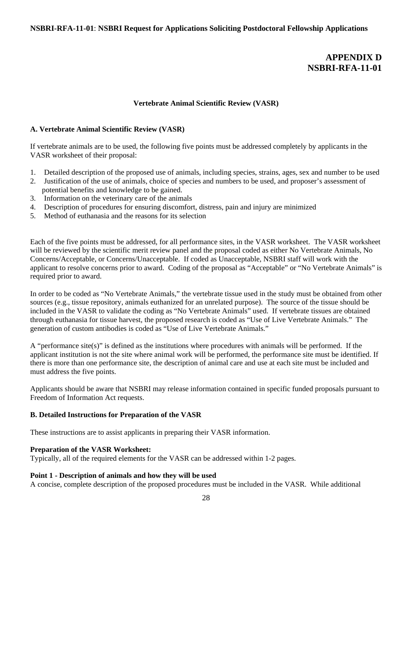# **APPENDIX D NSBRI-RFA-11-01**

#### **Vertebrate Animal Scientific Review (VASR)**

#### **A. Vertebrate Animal Scientific Review (VASR)**

If vertebrate animals are to be used, the following five points must be addressed completely by applicants in the VASR worksheet of their proposal:

- 1. Detailed description of the proposed use of animals, including species, strains, ages, sex and number to be used
- 2. Justification of the use of animals, choice of species and numbers to be used, and proposer's assessment of potential benefits and knowledge to be gained.
- 3. Information on the veterinary care of the animals
- 4. Description of procedures for ensuring discomfort, distress, pain and injury are minimized
- 5. Method of euthanasia and the reasons for its selection

Each of the five points must be addressed, for all performance sites, in the VASR worksheet. The VASR worksheet will be reviewed by the scientific merit review panel and the proposal coded as either No Vertebrate Animals, No Concerns/Acceptable, or Concerns/Unacceptable. If coded as Unacceptable, NSBRI staff will work with the applicant to resolve concerns prior to award. Coding of the proposal as "Acceptable" or "No Vertebrate Animals" is required prior to award.

In order to be coded as "No Vertebrate Animals," the vertebrate tissue used in the study must be obtained from other sources (e.g., tissue repository, animals euthanized for an unrelated purpose). The source of the tissue should be included in the VASR to validate the coding as "No Vertebrate Animals" used. If vertebrate tissues are obtained through euthanasia for tissue harvest, the proposed research is coded as "Use of Live Vertebrate Animals." The generation of custom antibodies is coded as "Use of Live Vertebrate Animals."

A "performance site(s)" is defined as the institutions where procedures with animals will be performed. If the applicant institution is not the site where animal work will be performed, the performance site must be identified. If there is more than one performance site, the description of animal care and use at each site must be included and must address the five points.

Applicants should be aware that NSBRI may release information contained in specific funded proposals pursuant to Freedom of Information Act requests.

# **B. Detailed Instructions for Preparation of the VASR**

These instructions are to assist applicants in preparing their VASR information.

## **Preparation of the VASR Worksheet:**

Typically, all of the required elements for the VASR can be addressed within 1-2 pages.

#### **Point 1 - Description of animals and how they will be used**

A concise, complete description of the proposed procedures must be included in the VASR. While additional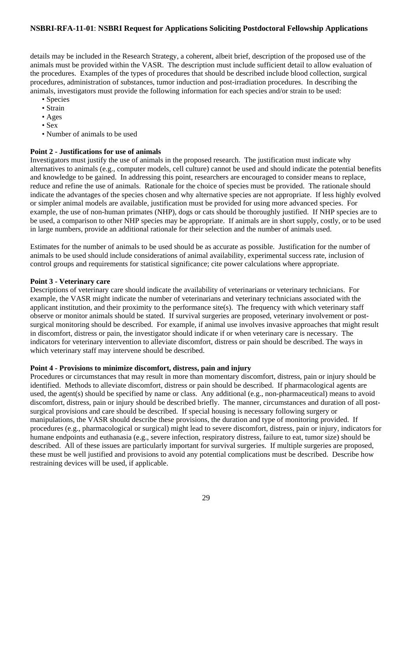details may be included in the Research Strategy, a coherent, albeit brief, description of the proposed use of the animals must be provided within the VASR. The description must include sufficient detail to allow evaluation of the procedures. Examples of the types of procedures that should be described include blood collection, surgical procedures, administration of substances, tumor induction and post-irradiation procedures. In describing the animals, investigators must provide the following information for each species and/or strain to be used:

- Species
- Strain
- Ages
- Sex
- Number of animals to be used

## **Point 2 - Justifications for use of animals**

Investigators must justify the use of animals in the proposed research. The justification must indicate why alternatives to animals (e.g., computer models, cell culture) cannot be used and should indicate the potential benefits and knowledge to be gained. In addressing this point, researchers are encouraged to consider means to replace, reduce and refine the use of animals. Rationale for the choice of species must be provided. The rationale should indicate the advantages of the species chosen and why alternative species are not appropriate. If less highly evolved or simpler animal models are available, justification must be provided for using more advanced species. For example, the use of non-human primates (NHP), dogs or cats should be thoroughly justified. If NHP species are to be used, a comparison to other NHP species may be appropriate. If animals are in short supply, costly, or to be used in large numbers, provide an additional rationale for their selection and the number of animals used.

Estimates for the number of animals to be used should be as accurate as possible. Justification for the number of animals to be used should include considerations of animal availability, experimental success rate, inclusion of control groups and requirements for statistical significance; cite power calculations where appropriate.

#### **Point 3 - Veterinary care**

Descriptions of veterinary care should indicate the availability of veterinarians or veterinary technicians. For example, the VASR might indicate the number of veterinarians and veterinary technicians associated with the applicant institution, and their proximity to the performance site(s). The frequency with which veterinary staff observe or monitor animals should be stated. If survival surgeries are proposed, veterinary involvement or postsurgical monitoring should be described. For example, if animal use involves invasive approaches that might result in discomfort, distress or pain, the investigator should indicate if or when veterinary care is necessary. The indicators for veterinary intervention to alleviate discomfort, distress or pain should be described. The ways in which veterinary staff may intervene should be described.

#### **Point 4 - Provisions to minimize discomfort, distress, pain and injury**

Procedures or circumstances that may result in more than momentary discomfort, distress, pain or injury should be identified. Methods to alleviate discomfort, distress or pain should be described. If pharmacological agents are used, the agent(s) should be specified by name or class. Any additional (e.g., non-pharmaceutical) means to avoid discomfort, distress, pain or injury should be described briefly. The manner, circumstances and duration of all postsurgical provisions and care should be described. If special housing is necessary following surgery or manipulations, the VASR should describe these provisions, the duration and type of monitoring provided. If procedures (e.g., pharmacological or surgical) might lead to severe discomfort, distress, pain or injury, indicators for humane endpoints and euthanasia (e.g., severe infection, respiratory distress, failure to eat, tumor size) should be described. All of these issues are particularly important for survival surgeries. If multiple surgeries are proposed, these must be well justified and provisions to avoid any potential complications must be described. Describe how restraining devices will be used, if applicable.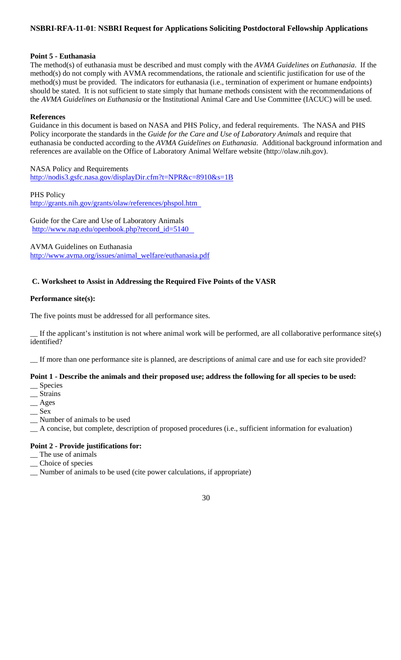## **Point 5 - Euthanasia**

The method(s) of euthanasia must be described and must comply with the *AVMA Guidelines on Euthanasia*. If the method(s) do not comply with AVMA recommendations, the rationale and scientific justification for use of the method(s) must be provided. The indicators for euthanasia (i.e., termination of experiment or humane endpoints) should be stated. It is not sufficient to state simply that humane methods consistent with the recommendations of the *AVMA Guidelines on Euthanasia* or the Institutional Animal Care and Use Committee (IACUC) will be used.

#### **References**

Guidance in this document is based on NASA and PHS Policy, and federal requirements. The NASA and PHS Policy incorporate the standards in the *Guide for the Care and Use of Laboratory Animals* and require that euthanasia be conducted according to the *AVMA Guidelines on Euthanasia*. Additional background information and references are available on the Office of Laboratory Animal Welfare website (http://olaw.nih.gov).

NASA Policy and Requirements http://nodis3.gsfc.nasa.gov/displayDir.cfm?t=NPR&c=8910&s=1B

PHS Policy http://grants.nih.gov/grants/olaw/references/phspol.htm

Guide for the Care and Use of Laboratory Animals http://www.nap.edu/openbook.php?record\_id=5140

AVMA Guidelines on Euthanasia http://www.avma.org/issues/animal\_welfare/euthanasia.pdf

# **C. Worksheet to Assist in Addressing the Required Five Points of the VASR**

## **Performance site(s):**

The five points must be addressed for all performance sites.

If the applicant's institution is not where animal work will be performed, are all collaborative performance  $\text{site}(s)$ identified?

\_\_ If more than one performance site is planned, are descriptions of animal care and use for each site provided?

# **Point 1 - Describe the animals and their proposed use; address the following for all species to be used:**

- \_\_ Species
- \_\_ Strains
- \_\_ Ages
- $\mathcal{S}$ ex
- \_\_ Number of animals to be used
- \_\_ A concise, but complete, description of proposed procedures (i.e., sufficient information for evaluation)

# **Point 2 - Provide justifications for:**

- \_\_ The use of animals
- \_\_ Choice of species
- \_\_ Number of animals to be used (cite power calculations, if appropriate)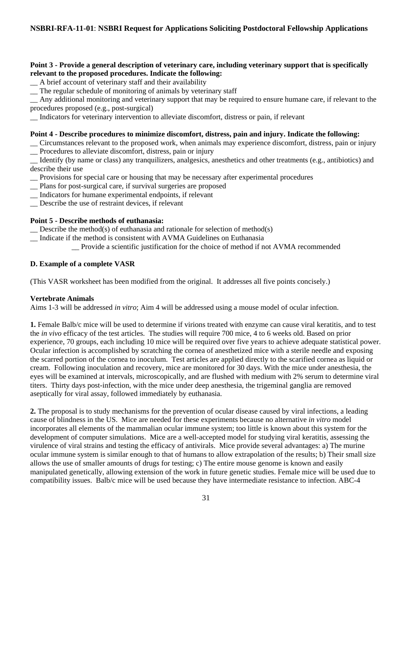## **Point 3 - Provide a general description of veterinary care, including veterinary support that is specifically relevant to the proposed procedures. Indicate the following:**

- \_\_ A brief account of veterinary staff and their availability
- \_\_ The regular schedule of monitoring of animals by veterinary staff

\_\_ Any additional monitoring and veterinary support that may be required to ensure humane care, if relevant to the procedures proposed (e.g., post-surgical)

\_\_ Indicators for veterinary intervention to alleviate discomfort, distress or pain, if relevant

#### **Point 4 - Describe procedures to minimize discomfort, distress, pain and injury. Indicate the following:**

\_\_ Circumstances relevant to the proposed work, when animals may experience discomfort, distress, pain or injury \_\_ Procedures to alleviate discomfort, distress, pain or injury

\_\_ Identify (by name or class) any tranquilizers, analgesics, anesthetics and other treatments (e.g., antibiotics) and describe their use

- \_\_ Provisions for special care or housing that may be necessary after experimental procedures
- \_\_ Plans for post-surgical care, if survival surgeries are proposed
- \_\_ Indicators for humane experimental endpoints, if relevant
- \_\_ Describe the use of restraint devices, if relevant

## **Point 5 - Describe methods of euthanasia:**

 $\sum$  Describe the method(s) of euthanasia and rationale for selection of method(s)

- \_\_ Indicate if the method is consistent with AVMA Guidelines on Euthanasia
	- \_\_ Provide a scientific justification for the choice of method if not AVMA recommended

## **D. Example of a complete VASR**

(This VASR worksheet has been modified from the original. It addresses all five points concisely.)

#### **Vertebrate Animals**

Aims 1-3 will be addressed *in vitro*; Aim 4 will be addressed using a mouse model of ocular infection.

**1.** Female Balb/c mice will be used to determine if virions treated with enzyme can cause viral keratitis, and to test the *in vivo* efficacy of the test articles. The studies will require 700 mice, 4 to 6 weeks old. Based on prior experience, 70 groups, each including 10 mice will be required over five years to achieve adequate statistical power. Ocular infection is accomplished by scratching the cornea of anesthetized mice with a sterile needle and exposing the scarred portion of the cornea to inoculum. Test articles are applied directly to the scarified cornea as liquid or cream. Following inoculation and recovery, mice are monitored for 30 days. With the mice under anesthesia, the eyes will be examined at intervals, microscopically, and are flushed with medium with 2% serum to determine viral titers. Thirty days post-infection, with the mice under deep anesthesia, the trigeminal ganglia are removed aseptically for viral assay, followed immediately by euthanasia.

**2.** The proposal is to study mechanisms for the prevention of ocular disease caused by viral infections, a leading cause of blindness in the US. Mice are needed for these experiments because no alternative *in vitro* model incorporates all elements of the mammalian ocular immune system; too little is known about this system for the development of computer simulations. Mice are a well-accepted model for studying viral keratitis, assessing the virulence of viral strains and testing the efficacy of antivirals. Mice provide several advantages: a) The murine ocular immune system is similar enough to that of humans to allow extrapolation of the results; b) Their small size allows the use of smaller amounts of drugs for testing; c) The entire mouse genome is known and easily manipulated genetically, allowing extension of the work in future genetic studies. Female mice will be used due to compatibility issues. Balb/c mice will be used because they have intermediate resistance to infection. ABC-4